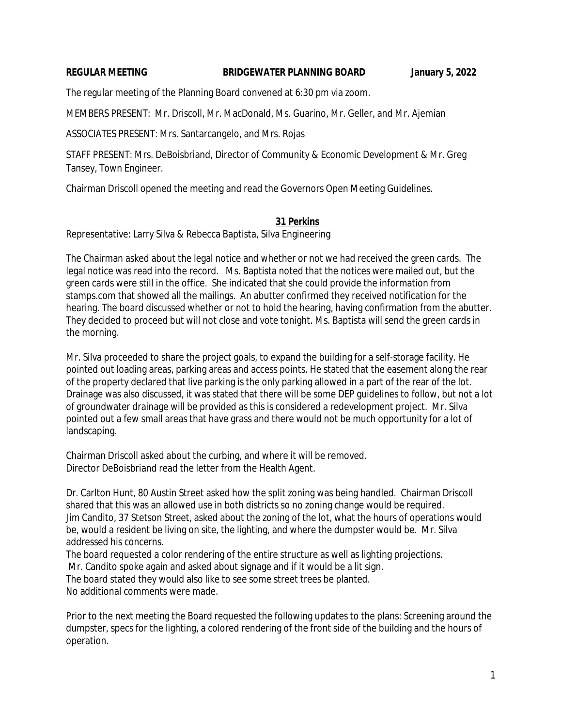#### **REGULAR MEETING BRIDGEWATER PLANNING BOARD January 5, 2022**

The regular meeting of the Planning Board convened at 6:30 pm via zoom.

MEMBERS PRESENT: Mr. Driscoll, Mr. MacDonald, Ms. Guarino, Mr. Geller, and Mr. Ajemian

ASSOCIATES PRESENT: Mrs. Santarcangelo, and Mrs. Rojas

STAFF PRESENT: Mrs. DeBoisbriand, Director of Community & Economic Development & Mr. Greg Tansey, Town Engineer.

Chairman Driscoll opened the meeting and read the Governors Open Meeting Guidelines.

## **31 Perkins**

Representative: Larry Silva & Rebecca Baptista, Silva Engineering

The Chairman asked about the legal notice and whether or not we had received the green cards. The legal notice was read into the record. Ms. Baptista noted that the notices were mailed out, but the green cards were still in the office. She indicated that she could provide the information from stamps.com that showed all the mailings. An abutter confirmed they received notification for the hearing. The board discussed whether or not to hold the hearing, having confirmation from the abutter. They decided to proceed but will not close and vote tonight. Ms. Baptista will send the green cards in the morning.

Mr. Silva proceeded to share the project goals, to expand the building for a self-storage facility. He pointed out loading areas, parking areas and access points. He stated that the easement along the rear of the property declared that live parking is the only parking allowed in a part of the rear of the lot. Drainage was also discussed, it was stated that there will be some DEP guidelines to follow, but not a lot of groundwater drainage will be provided as this is considered a redevelopment project. Mr. Silva pointed out a few small areas that have grass and there would not be much opportunity for a lot of landscaping.

Chairman Driscoll asked about the curbing, and where it will be removed. Director DeBoisbriand read the letter from the Health Agent.

Dr. Carlton Hunt, 80 Austin Street asked how the split zoning was being handled. Chairman Driscoll shared that this was an allowed use in both districts so no zoning change would be required. Jim Candito, 37 Stetson Street, asked about the zoning of the lot, what the hours of operations would be, would a resident be living on site, the lighting, and where the dumpster would be. Mr. Silva addressed his concerns.

The board requested a color rendering of the entire structure as well as lighting projections.

Mr. Candito spoke again and asked about signage and if it would be a lit sign.

The board stated they would also like to see some street trees be planted.

No additional comments were made.

Prior to the next meeting the Board requested the following updates to the plans: Screening around the dumpster, specs for the lighting, a colored rendering of the front side of the building and the hours of operation.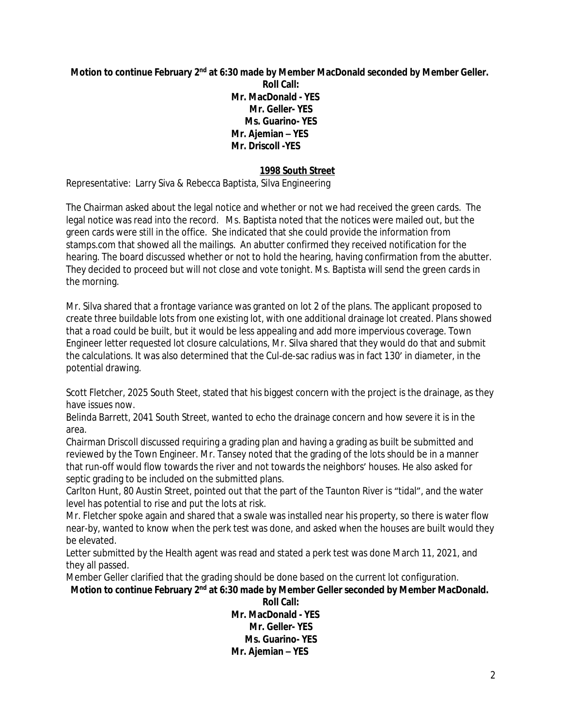**Motion to continue February 2nd at 6:30 made by Member MacDonald seconded by Member Geller. Roll Call: Mr. MacDonald - YES Mr. Geller- YES Ms. Guarino- YES Mr. Ajemian – YES Mr. Driscoll -YES**

# **1998 South Street**

Representative: Larry Siva & Rebecca Baptista, Silva Engineering

The Chairman asked about the legal notice and whether or not we had received the green cards. The legal notice was read into the record. Ms. Baptista noted that the notices were mailed out, but the green cards were still in the office. She indicated that she could provide the information from stamps.com that showed all the mailings. An abutter confirmed they received notification for the hearing. The board discussed whether or not to hold the hearing, having confirmation from the abutter. They decided to proceed but will not close and vote tonight. Ms. Baptista will send the green cards in the morning.

Mr. Silva shared that a frontage variance was granted on lot 2 of the plans. The applicant proposed to create three buildable lots from one existing lot, with one additional drainage lot created. Plans showed that a road could be built, but it would be less appealing and add more impervious coverage. Town Engineer letter requested lot closure calculations, Mr. Silva shared that they would do that and submit the calculations. It was also determined that the Cul-de-sac radius was in fact 130' in diameter, in the potential drawing.

Scott Fletcher, 2025 South Steet, stated that his biggest concern with the project is the drainage, as they have issues now.

Belinda Barrett, 2041 South Street, wanted to echo the drainage concern and how severe it is in the area.

Chairman Driscoll discussed requiring a grading plan and having a grading as built be submitted and reviewed by the Town Engineer. Mr. Tansey noted that the grading of the lots should be in a manner that run-off would flow towards the river and not towards the neighbors' houses. He also asked for septic grading to be included on the submitted plans.

Carlton Hunt, 80 Austin Street, pointed out that the part of the Taunton River is "tidal", and the water level has potential to rise and put the lots at risk.

Mr. Fletcher spoke again and shared that a swale was installed near his property, so there is water flow near-by, wanted to know when the perk test was done, and asked when the houses are built would they be elevated.

Letter submitted by the Health agent was read and stated a perk test was done March 11, 2021, and they all passed.

Member Geller clarified that the grading should be done based on the current lot configuration.

Motion to continue February 2<sup>nd</sup> at 6:30 made by Member Geller seconded by Member MacDonald.

**Roll Call: Mr. MacDonald - YES Mr. Geller- YES Ms. Guarino- YES Mr. Ajemian – YES**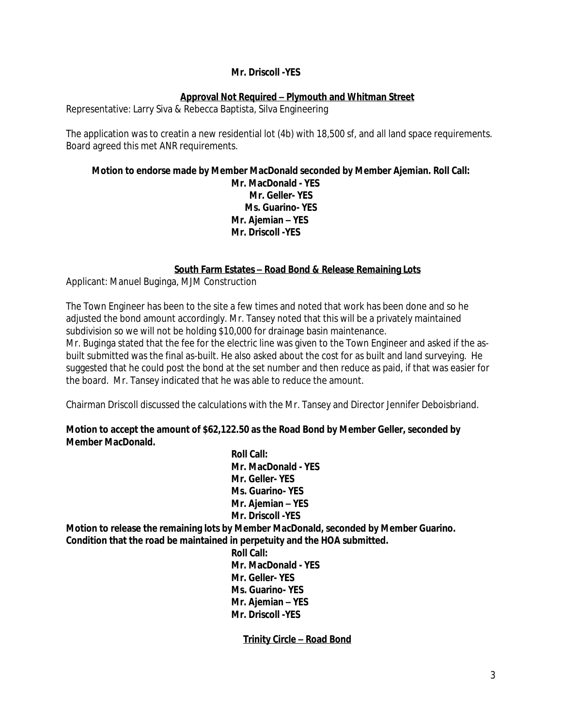## **Mr. Driscoll -YES**

# **Approval Not Required – Plymouth and Whitman Street**

Representative: Larry Siva & Rebecca Baptista, Silva Engineering

The application was to creatin a new residential lot (4b) with 18,500 sf, and all land space requirements. Board agreed this met ANR requirements.

#### **Motion to endorse made by Member MacDonald seconded by Member Ajemian. Roll Call: Mr. MacDonald - YES Mr. Geller- YES Ms. Guarino- YES Mr. Ajemian – YES Mr. Driscoll -YES**

# **South Farm Estates – Road Bond & Release Remaining Lots**

Applicant: Manuel Buginga, MJM Construction

The Town Engineer has been to the site a few times and noted that work has been done and so he adjusted the bond amount accordingly. Mr. Tansey noted that this will be a privately maintained subdivision so we will not be holding \$10,000 for drainage basin maintenance. Mr. Buginga stated that the fee for the electric line was given to the Town Engineer and asked if the asbuilt submitted was the final as-built. He also asked about the cost for as built and land surveying. He suggested that he could post the bond at the set number and then reduce as paid, if that was easier for the board. Mr. Tansey indicated that he was able to reduce the amount.

Chairman Driscoll discussed the calculations with the Mr. Tansey and Director Jennifer Deboisbriand.

## **Motion to accept the amount of \$62,122.50 as the Road Bond by Member Geller, seconded by Member MacDonald.**

**Roll Call: Mr. MacDonald - YES Mr. Geller- YES Ms. Guarino- YES Mr. Ajemian – YES Mr. Driscoll -YES Motion to release the remaining lots by Member MacDonald, seconded by Member Guarino. Condition that the road be maintained in perpetuity and the HOA submitted.** 

**Roll Call: Mr. MacDonald - YES Mr. Geller- YES Ms. Guarino- YES Mr. Ajemian – YES Mr. Driscoll -YES**

**Trinity Circle – Road Bond**